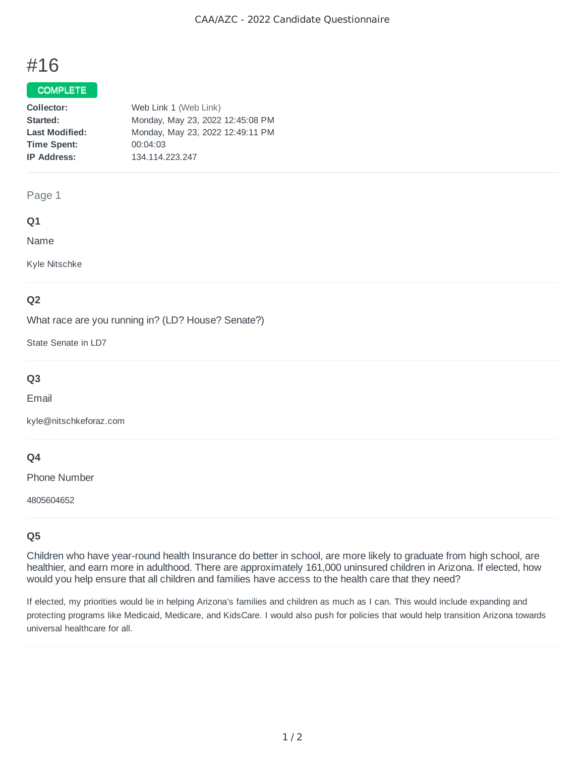# #16

## COMPLETE

| Web Link 1 (Web Link)            |
|----------------------------------|
| Monday, May 23, 2022 12:45:08 PM |
| Monday, May 23, 2022 12:49:11 PM |
| 00:04:03                         |
| 134.114.223.247                  |
|                                  |

#### Page 1

## **Q1**

Name

Kyle Nitschke

## **Q2**

What race are you running in? (LD? House? Senate?)

State Senate in LD7

## **Q3**

Email

kyle@nitschkeforaz.com

## **Q4**

Phone Number

4805604652

# **Q5**

Children who have year-round health Insurance do better in school, are more likely to graduate from high school, are healthier, and earn more in adulthood. There are approximately 161,000 uninsured children in Arizona. If elected, how would you help ensure that all children and families have access to the health care that they need?

If elected, my priorities would lie in helping Arizona's families and children as much as I can. This would include expanding and protecting programs like Medicaid, Medicare, and KidsCare. I would also push for policies that would help transition Arizona towards universal healthcare for all.